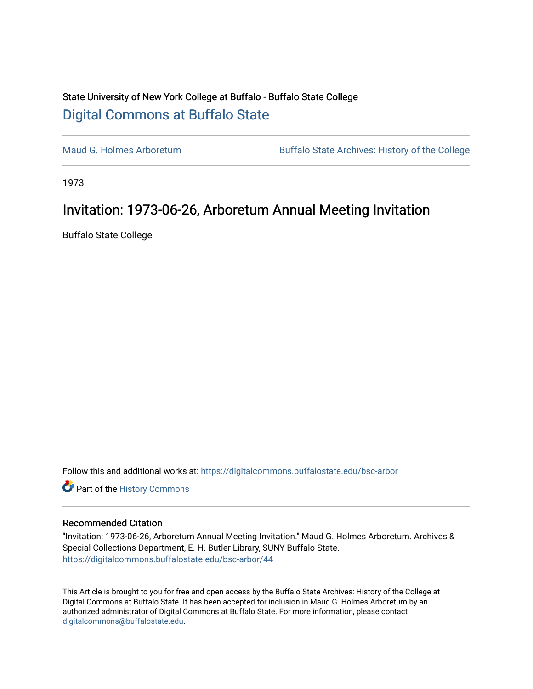## State University of New York College at Buffalo - Buffalo State College [Digital Commons at Buffalo State](https://digitalcommons.buffalostate.edu/)

[Maud G. Holmes Arboretum](https://digitalcommons.buffalostate.edu/bsc-arbor) Buffalo State Archives: History of the College

1973

## Invitation: 1973-06-26, Arboretum Annual Meeting Invitation

Buffalo State College

Follow this and additional works at: [https://digitalcommons.buffalostate.edu/bsc-arbor](https://digitalcommons.buffalostate.edu/bsc-arbor?utm_source=digitalcommons.buffalostate.edu%2Fbsc-arbor%2F44&utm_medium=PDF&utm_campaign=PDFCoverPages) 

Part of the [History Commons](http://network.bepress.com/hgg/discipline/489?utm_source=digitalcommons.buffalostate.edu%2Fbsc-arbor%2F44&utm_medium=PDF&utm_campaign=PDFCoverPages) 

## Recommended Citation

"Invitation: 1973-06-26, Arboretum Annual Meeting Invitation." Maud G. Holmes Arboretum. Archives & Special Collections Department, E. H. Butler Library, SUNY Buffalo State. [https://digitalcommons.buffalostate.edu/bsc-arbor/44](https://digitalcommons.buffalostate.edu/bsc-arbor/44?utm_source=digitalcommons.buffalostate.edu%2Fbsc-arbor%2F44&utm_medium=PDF&utm_campaign=PDFCoverPages) 

This Article is brought to you for free and open access by the Buffalo State Archives: History of the College at Digital Commons at Buffalo State. It has been accepted for inclusion in Maud G. Holmes Arboretum by an authorized administrator of Digital Commons at Buffalo State. For more information, please contact [digitalcommons@buffalostate.edu.](mailto:digitalcommons@buffalostate.edu)